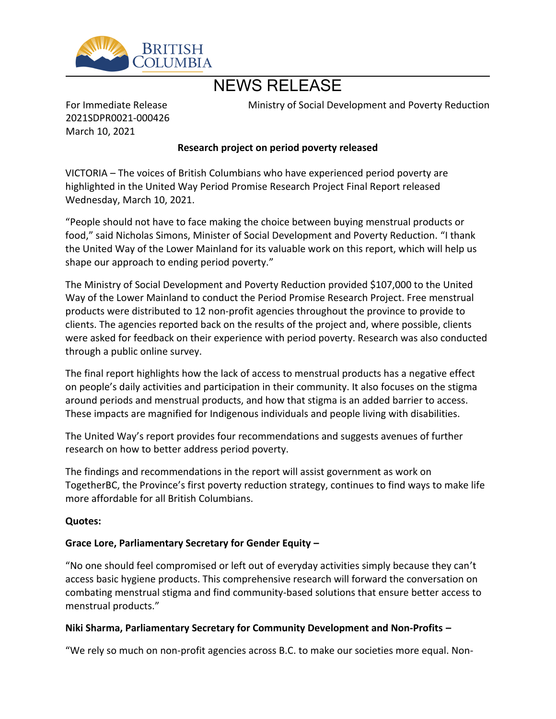

# NEWS RELEASE

For Immediate Release 2021SDPR0021-000426 March 10, 2021

Ministry of Social Development and Poverty Reduction

## **Research project on period poverty released**

VICTORIA – The voices of British Columbians who have experienced period poverty are highlighted in the United Way Period Promise Research Project Final Report released Wednesday, March 10, 2021.

͞People should not have to face making the choice between buying menstrual products or food," said Nicholas Simons, Minister of Social Development and Poverty Reduction. "I thank the United Way of the Lower Mainland for its valuable work on this report, which will help us shape our approach to ending period poverty."

The Ministry of Social Development and Poverty Reduction provided \$107,000 to the United Way of the Lower Mainland to conduct the Period Promise Research Project. Free menstrual products were distributed to 12 non-profit agencies throughout the province to provide to clients. The agencies reported back on the results of the project and, where possible, clients were asked for feedback on their experience with period poverty. Research was also conducted through a public online survey.

The final report highlights how the lack of access to menstrual products has a negative effect on people's daily activities and participation in their community. It also focuses on the stigma around periods and menstrual products, and how that stigma is an added barrier to access. These impacts are magnified for Indigenous individuals and people living with disabilities.

The United Way͛s report provides four recommendations and suggests avenues of further research on how to better address period poverty.

The findings and recommendations in the report will assist government as work on TogetherBC, the Province's first poverty reduction strategy, continues to find ways to make life more affordable for all British Columbians.

#### **Quotes:**

## Grace Lore, Parliamentary Secretary for Gender Equity -

͞No one should feel compromised or left out of everyday activities simply because they can͛t access basic hygiene products. This comprehensive research will forward the conversation on combating menstrual stigma and find community-based solutions that ensure better access to menstrual products."

#### **Niki Sharma, Parliamentary Secretary for Community Development and Non-Profits -**

͞We rely so much on non-profit agencies across B.C. to make our societies more equal. Non-